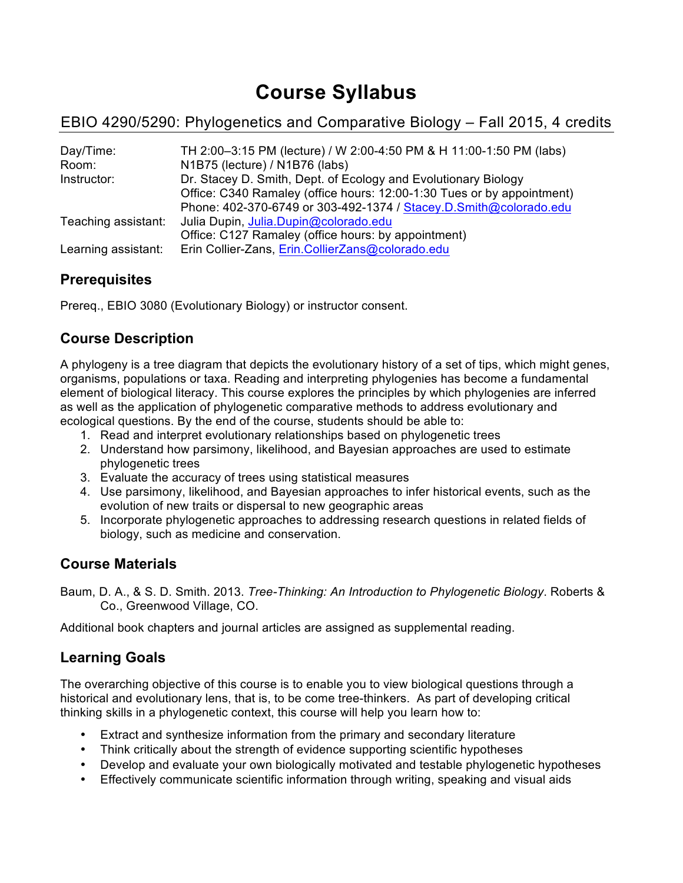# **Course Syllabus**

## EBIO 4290/5290: Phylogenetics and Comparative Biology – Fall 2015, 4 credits

| Day/Time:           | TH 2:00-3:15 PM (lecture) / W 2:00-4:50 PM & H 11:00-1:50 PM (labs)    |
|---------------------|------------------------------------------------------------------------|
| Room:               | N1B75 (lecture) / N1B76 (labs)                                         |
| Instructor:         | Dr. Stacey D. Smith, Dept. of Ecology and Evolutionary Biology         |
|                     | Office: C340 Ramaley (office hours: 12:00-1:30 Tues or by appointment) |
|                     | Phone: 402-370-6749 or 303-492-1374 / Stacey.D.Smith@colorado.edu      |
| Teaching assistant: | Julia Dupin, Julia.Dupin@colorado.edu                                  |
|                     | Office: C127 Ramaley (office hours: by appointment)                    |
| Learning assistant: | Erin Collier-Zans, Erin.CollierZans@colorado.edu                       |

## **Prerequisites**

Prereq., EBIO 3080 (Evolutionary Biology) or instructor consent.

## **Course Description**

A phylogeny is a tree diagram that depicts the evolutionary history of a set of tips, which might genes, organisms, populations or taxa. Reading and interpreting phylogenies has become a fundamental element of biological literacy. This course explores the principles by which phylogenies are inferred as well as the application of phylogenetic comparative methods to address evolutionary and ecological questions. By the end of the course, students should be able to:

- 1. Read and interpret evolutionary relationships based on phylogenetic trees
- 2. Understand how parsimony, likelihood, and Bayesian approaches are used to estimate phylogenetic trees
- 3. Evaluate the accuracy of trees using statistical measures
- 4. Use parsimony, likelihood, and Bayesian approaches to infer historical events, such as the evolution of new traits or dispersal to new geographic areas
- 5. Incorporate phylogenetic approaches to addressing research questions in related fields of biology, such as medicine and conservation.

## **Course Materials**

Baum, D. A., & S. D. Smith. 2013. *Tree-Thinking: An Introduction to Phylogenetic Biology*. Roberts & Co., Greenwood Village, CO.

Additional book chapters and journal articles are assigned as supplemental reading.

## **Learning Goals**

The overarching objective of this course is to enable you to view biological questions through a historical and evolutionary lens, that is, to be come tree-thinkers. As part of developing critical thinking skills in a phylogenetic context, this course will help you learn how to:

- Extract and synthesize information from the primary and secondary literature
- Think critically about the strength of evidence supporting scientific hypotheses
- Develop and evaluate your own biologically motivated and testable phylogenetic hypotheses
- Effectively communicate scientific information through writing, speaking and visual aids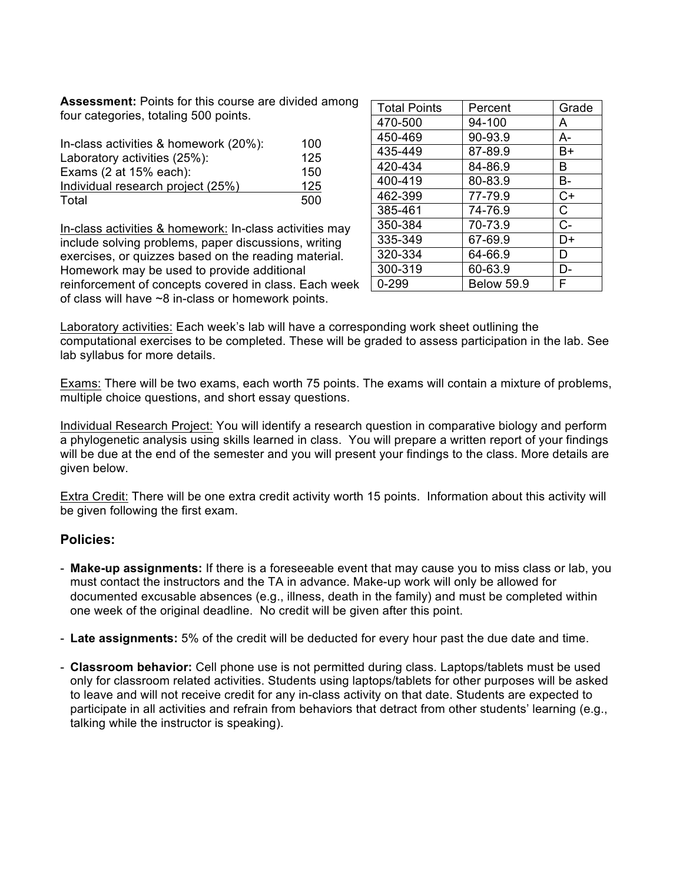**Assessment:** Points for this course are divided among four categories, totaling 500 points.

| In-class activities & homework (20%): | 100 |
|---------------------------------------|-----|
| Laboratory activities (25%):          | 125 |
| Exams $(2$ at $15%$ each):            | 150 |
| Individual research project (25%)     | 125 |
| Total                                 | 500 |

In-class activities & homework: In-class activities may include solving problems, paper discussions, writing exercises, or quizzes based on the reading material. Homework may be used to provide additional reinforcement of concepts covered in class. Each week of class will have ~8 in-class or homework points.

| <b>Total Points</b> | Percent           | Grade |
|---------------------|-------------------|-------|
| 470-500             | 94-100            | A     |
| 450-469             | 90-93.9           | А-    |
| 435-449             | 87-89.9           | B+    |
| 420-434             | 84-86.9           | B     |
| 400-419             | 80-83.9           | B-    |
| 462-399             | 77-79.9           | C+    |
| 385-461             | 74-76.9           | C     |
| 350-384             | 70-73.9           | C-    |
| 335-349             | 67-69.9           | D+    |
| 320-334             | 64-66.9           | D     |
| 300-319             | 60-63.9           | D-    |
| 0-299               | <b>Below 59.9</b> | F     |

Laboratory activities: Each week's lab will have a corresponding work sheet outlining the computational exercises to be completed. These will be graded to assess participation in the lab. See lab syllabus for more details.

Exams: There will be two exams, each worth 75 points. The exams will contain a mixture of problems, multiple choice questions, and short essay questions.

Individual Research Project: You will identify a research question in comparative biology and perform a phylogenetic analysis using skills learned in class. You will prepare a written report of your findings will be due at the end of the semester and you will present your findings to the class. More details are given below.

Extra Credit: There will be one extra credit activity worth 15 points. Information about this activity will be given following the first exam.

#### **Policies:**

- **Make-up assignments:** If there is a foreseeable event that may cause you to miss class or lab, you must contact the instructors and the TA in advance. Make-up work will only be allowed for documented excusable absences (e.g., illness, death in the family) and must be completed within one week of the original deadline. No credit will be given after this point.
- **Late assignments:** 5% of the credit will be deducted for every hour past the due date and time.
- **Classroom behavior:** Cell phone use is not permitted during class. Laptops/tablets must be used only for classroom related activities. Students using laptops/tablets for other purposes will be asked to leave and will not receive credit for any in-class activity on that date. Students are expected to participate in all activities and refrain from behaviors that detract from other students' learning (e.g., talking while the instructor is speaking).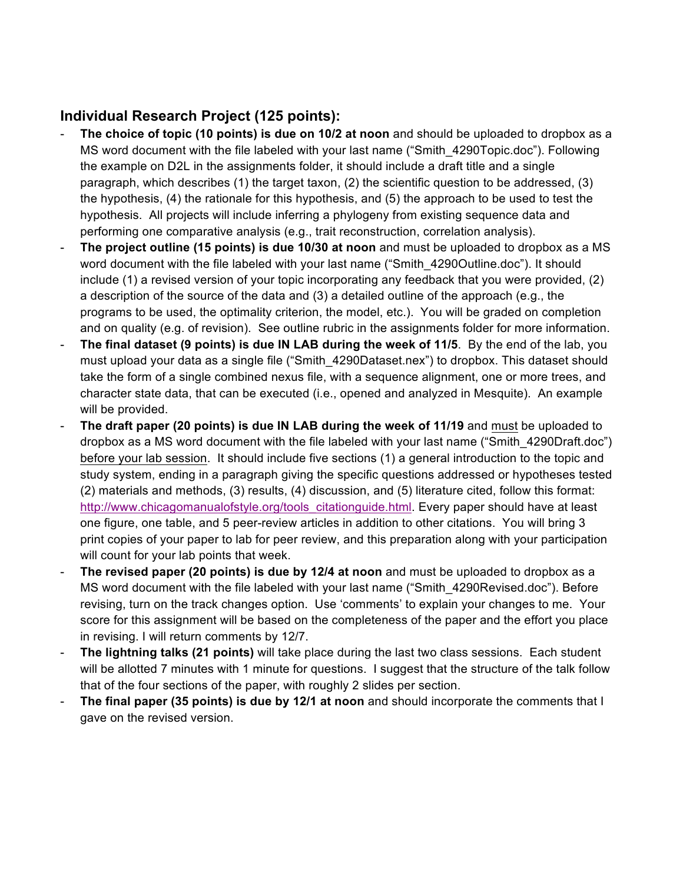## **Individual Research Project (125 points):**

- The choice of topic (10 points) is due on 10/2 at noon and should be uploaded to dropbox as a MS word document with the file labeled with your last name ("Smith\_4290Topic.doc"). Following the example on D2L in the assignments folder, it should include a draft title and a single paragraph, which describes (1) the target taxon, (2) the scientific question to be addressed, (3) the hypothesis, (4) the rationale for this hypothesis, and (5) the approach to be used to test the hypothesis. All projects will include inferring a phylogeny from existing sequence data and performing one comparative analysis (e.g., trait reconstruction, correlation analysis).
- **The project outline (15 points) is due 10/30 at noon** and must be uploaded to dropbox as a MS word document with the file labeled with your last name ("Smith\_4290Outline.doc"). It should include (1) a revised version of your topic incorporating any feedback that you were provided, (2) a description of the source of the data and (3) a detailed outline of the approach (e.g., the programs to be used, the optimality criterion, the model, etc.). You will be graded on completion and on quality (e.g. of revision). See outline rubric in the assignments folder for more information.
- **The final dataset (9 points) is due IN LAB during the week of 11/5**. By the end of the lab, you must upload your data as a single file ("Smith\_4290Dataset.nex") to dropbox. This dataset should take the form of a single combined nexus file, with a sequence alignment, one or more trees, and character state data, that can be executed (i.e., opened and analyzed in Mesquite). An example will be provided.
- **The draft paper (20 points) is due IN LAB during the week of 11/19** and must be uploaded to dropbox as a MS word document with the file labeled with your last name ("Smith\_4290Draft.doc") before your lab session. It should include five sections (1) a general introduction to the topic and study system, ending in a paragraph giving the specific questions addressed or hypotheses tested (2) materials and methods, (3) results, (4) discussion, and (5) literature cited, follow this format: http://www.chicagomanualofstyle.org/tools\_citationguide.html. Every paper should have at least one figure, one table, and 5 peer-review articles in addition to other citations. You will bring 3 print copies of your paper to lab for peer review, and this preparation along with your participation will count for your lab points that week.
- **The revised paper (20 points) is due by 12/4 at noon** and must be uploaded to dropbox as a MS word document with the file labeled with your last name ("Smith\_4290Revised.doc"). Before revising, turn on the track changes option. Use 'comments' to explain your changes to me. Your score for this assignment will be based on the completeness of the paper and the effort you place in revising. I will return comments by 12/7.
- **The lightning talks (21 points)** will take place during the last two class sessions. Each student will be allotted 7 minutes with 1 minute for questions. I suggest that the structure of the talk follow that of the four sections of the paper, with roughly 2 slides per section.
- **The final paper (35 points) is due by 12/1 at noon** and should incorporate the comments that I gave on the revised version.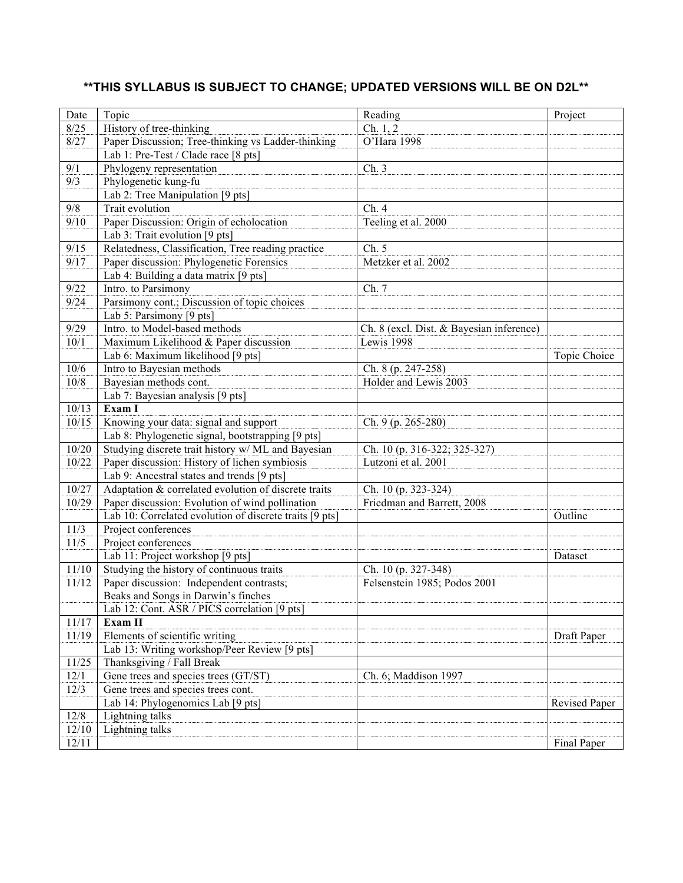## **\*\*THIS SYLLABUS IS SUBJECT TO CHANGE; UPDATED VERSIONS WILL BE ON D2L\*\***

| Date    | Topic                                                   | Reading                                  | Project       |
|---------|---------------------------------------------------------|------------------------------------------|---------------|
| 8/25    | History of tree-thinking                                | Ch. 1, 2                                 |               |
| 8/27    | Paper Discussion; Tree-thinking vs Ladder-thinking      | O'Hara 1998                              |               |
|         | Lab 1: Pre-Test / Clade race [8 pts]                    |                                          |               |
| 9/1     | Phylogeny representation                                | Ch.3                                     |               |
| 9/3     | Phylogenetic kung-fu                                    |                                          |               |
|         | Lab 2: Tree Manipulation [9 pts]                        |                                          |               |
| 9/8     | Trait evolution                                         | $\overline{Ch}$ . 4                      |               |
|         |                                                         |                                          |               |
| 9/10    | Paper Discussion: Origin of echolocation                | Teeling et al. 2000                      |               |
|         | Lab 3: Trait evolution [9 pts]                          |                                          |               |
| 9/15    | Relatedness, Classification, Tree reading practice      | Ch. 5                                    |               |
| 9/17    | Paper discussion: Phylogenetic Forensics                | Metzker et al. 2002                      |               |
|         | Lab 4: Building a data matrix [9 pts]                   |                                          |               |
| 9/22    | Intro. to Parsimony                                     | Ch. 7                                    |               |
| 9/24    | Parsimony cont.; Discussion of topic choices            |                                          |               |
|         | Lab 5: Parsimony [9 pts]                                |                                          |               |
| 9/29    | Intro. to Model-based methods                           | Ch. 8 (excl. Dist. & Bayesian inference) |               |
| 10/1    | Maximum Likelihood & Paper discussion                   | Lewis 1998                               |               |
|         | Lab 6: Maximum likelihood [9 pts]                       |                                          | Topic Choice  |
| 10/6    | Intro to Bayesian methods                               | Ch. 8 (p. 247-258)                       |               |
| 10/8    | Bayesian methods cont.                                  | Holder and Lewis 2003                    |               |
|         | Lab 7: Bayesian analysis [9 pts]                        |                                          |               |
| 10/13   | Exam I                                                  |                                          |               |
| 10/15   | Knowing your data: signal and support                   | Ch. 9 (p. 265-280)                       |               |
|         | Lab 8: Phylogenetic signal, bootstrapping [9 pts]       |                                          |               |
| $10/20$ | Studying discrete trait history w/ ML and Bayesian      | Ch. 10 (p. 316-322; 325-327)             |               |
| 10/22   | Paper discussion: History of lichen symbiosis           | Lutzoni et al. 2001                      |               |
|         | Lab 9: Ancestral states and trends [9 pts]              |                                          |               |
| 10/27   | Adaptation & correlated evolution of discrete traits    | Ch. 10 (p. 323-324)                      |               |
| 10/29   | Paper discussion: Evolution of wind pollination         | Friedman and Barrett, 2008               |               |
|         | Lab 10: Correlated evolution of discrete traits [9 pts] |                                          | Outline       |
| 11/3    | Project conferences                                     |                                          |               |
| 11/5    | Project conferences                                     |                                          |               |
|         | Lab 11: Project workshop [9 pts]                        |                                          | Dataset       |
| 11/10   | Studying the history of continuous traits               | Ch. 10 (p. 327-348)                      |               |
| 11/12   | Paper discussion: Independent contrasts;                | Felsenstein 1985; Podos 2001             |               |
|         | Beaks and Songs in Darwin's finches                     |                                          |               |
|         | Lab 12: Cont. ASR / PICS correlation [9 pts]            |                                          |               |
| 11/17   | <b>Exam II</b>                                          |                                          |               |
| 11/19   | Elements of scientific writing                          |                                          | Draft Paper   |
|         | Lab 13: Writing workshop/Peer Review [9 pts]            |                                          |               |
| 11/25   | Thanksgiving / Fall Break                               |                                          |               |
| 12/1    | Gene trees and species trees (GT/ST)                    | Ch. 6; Maddison 1997                     |               |
| 12/3    | Gene trees and species trees cont.                      |                                          |               |
|         | Lab 14: Phylogenomics Lab [9 pts]                       |                                          | Revised Paper |
| 12/8    | Lightning talks                                         |                                          |               |
| 12/10   | Lightning talks                                         |                                          |               |
| 12/11   |                                                         |                                          | Final Paper   |